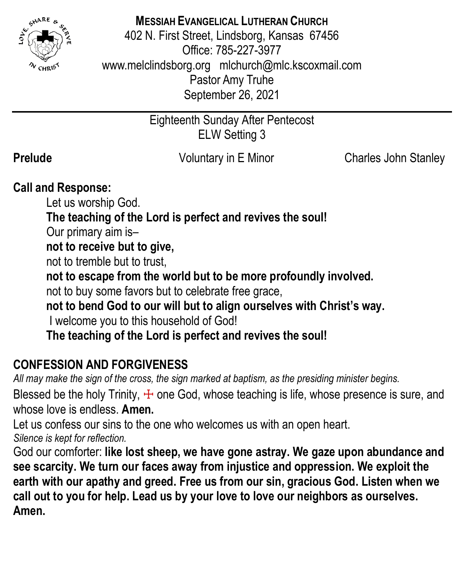

# **MESSIAH EVANGELICAL LUTHERAN CHURCH**

402 N. First Street, Lindsborg, Kansas 67456 Office: 785-227-3977 [www.melclindsborg.org](http://www.melclindsborg.org/) [mlchurch@mlc.kscoxmail.com](mailto:mlchurch@mlc.kscoxmail.com) Pastor Amy Truhe September 26, 2021

> Eighteenth Sunday After Pentecost ELW Setting 3

**Prelude Prelude Voluntary in E Minor** Charles John Stanley

# **Call and Response:**

Let us worship God.

**The teaching of the Lord is perfect and revives the soul!**

Our primary aim is–

**not to receive but to give,**

not to tremble but to trust,

**not to escape from the world but to be more profoundly involved.**

not to buy some favors but to celebrate free grace,

**not to bend God to our will but to align ourselves with Christ's way.** I welcome you to this household of God!

**The teaching of the Lord is perfect and revives the soul!**

# **CONFESSION AND FORGIVENESS**

*All may make the sign of the cross, the sign marked at baptism, as the presiding minister begins.*

Blessed be the holy Trinity,  $\pm$  one God, whose teaching is life, whose presence is sure, and whose love is endless. **Amen.**

Let us confess our sins to the one who welcomes us with an open heart. *Silence is kept for reflection.*

God our comforter: **like lost sheep, we have gone astray. We gaze upon abundance and see scarcity. We turn our faces away from injustice and oppression. We exploit the earth with our apathy and greed. Free us from our sin, gracious God. Listen when we call out to you for help. Lead us by your love to love our neighbors as ourselves. Amen.**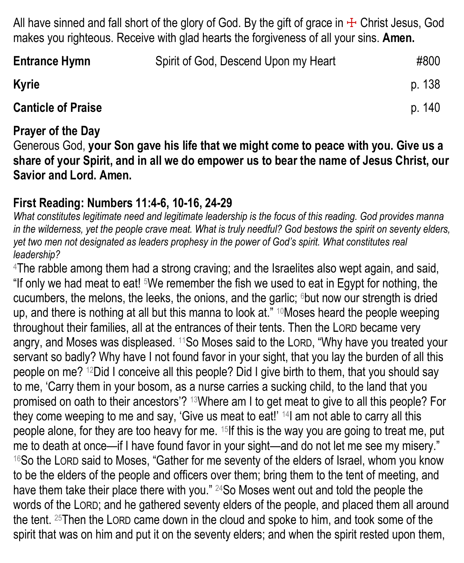All have sinned and fall short of the glory of God. By the gift of grace in  $\pm$  Christ Jesus, God makes you righteous. Receive with glad hearts the forgiveness of all your sins. **Amen.**

| <b>Entrance Hymn</b>      | Spirit of God, Descend Upon my Heart | #800   |
|---------------------------|--------------------------------------|--------|
| <b>Kyrie</b>              |                                      | p. 138 |
| <b>Canticle of Praise</b> |                                      | p. 140 |

#### **Prayer of the Day**

Generous God, **your Son gave his life that we might come to peace with you. Give us a share of your Spirit, and in all we do empower us to bear the name of Jesus Christ, our Savior and Lord. Amen.**

# **First Reading: Numbers 11:4-6, 10-16, 24-29**

*What constitutes legitimate need and legitimate leadership is the focus of this reading. God provides manna in the wilderness, yet the people crave meat. What is truly needful? God bestows the spirit on seventy elders, yet two men not designated as leaders prophesy in the power of God's spirit. What constitutes real leadership?*

<sup>4</sup>The rabble among them had a strong craving; and the Israelites also wept again, and said, "If only we had meat to eat!  $5\text{We remember}$  the fish we used to eat in Egypt for nothing, the cucumbers, the melons, the leeks, the onions, and the garlic; 6but now our strength is dried up, and there is nothing at all but this manna to look at." <sup>10</sup>Moses heard the people weeping throughout their families, all at the entrances of their tents. Then the LORD became very angry, and Moses was displeased. 11So Moses said to the LORD, "Why have you treated your servant so badly? Why have I not found favor in your sight, that you lay the burden of all this people on me? 12Did I conceive all this people? Did I give birth to them, that you should say to me, 'Carry them in your bosom, as a nurse carries a sucking child, to the land that you promised on oath to their ancestors'? 13Where am I to get meat to give to all this people? For they come weeping to me and say, 'Give us meat to eat!' 14I am not able to carry all this people alone, for they are too heavy for me. 15If this is the way you are going to treat me, put me to death at once—if I have found favor in your sight—and do not let me see my misery." <sup>16</sup>So the LORD said to Moses, "Gather for me seventy of the elders of Israel, whom you know to be the elders of the people and officers over them; bring them to the tent of meeting, and have them take their place there with you." <sup>24</sup>So Moses went out and told the people the words of the LORD; and he gathered seventy elders of the people, and placed them all around the tent. 25Then the LORD came down in the cloud and spoke to him, and took some of the spirit that was on him and put it on the seventy elders; and when the spirit rested upon them,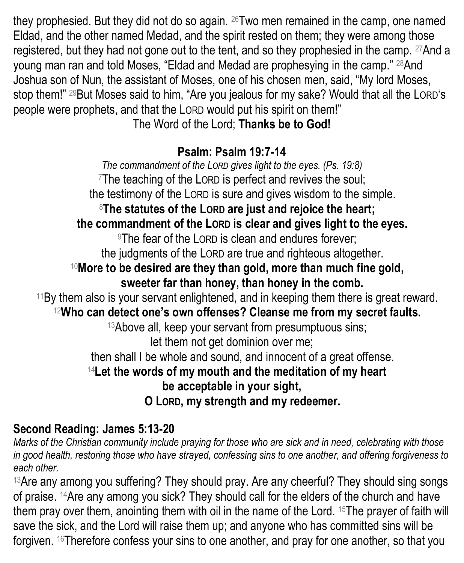they prophesied. But they did not do so again. <sup>26</sup>Two men remained in the camp, one named Eldad, and the other named Medad, and the spirit rested on them; they were among those registered, but they had not gone out to the tent, and so they prophesied in the camp. 27And a young man ran and told Moses, "Eldad and Medad are prophesying in the camp." 28And Joshua son of Nun, the assistant of Moses, one of his chosen men, said, "My lord Moses, stop them!" <sup>29</sup>But Moses said to him, "Are you jealous for my sake? Would that all the LORD's people were prophets, and that the LORD would put his spirit on them!"

# The Word of the Lord; **Thanks be to God!**

# **Psalm: Psalm 19:7-14**

*The commandment of the LORD gives light to the eyes. (Ps. 19:8)* <sup>7</sup>The teaching of the LORD is perfect and revives the soul; the testimony of the LORD is sure and gives wisdom to the simple. <sup>8</sup>**The statutes of the LORD are just and rejoice the heart; the commandment of the LORD is clear and gives light to the eyes. The fear of the LORD is clean and endures forever:** the judgments of the LORD are true and righteous altogether. <sup>10</sup>**More to be desired are they than gold, more than much fine gold, sweeter far than honey, than honey in the comb.** <sup>11</sup>By them also is your servant enlightened, and in keeping them there is great reward. <sup>12</sup>**Who can detect one's own offenses? Cleanse me from my secret faults.** 13Above all, keep your servant from presumptuous sins; let them not get dominion over me; then shall I be whole and sound, and innocent of a great offense. <sup>14</sup>**Let the words of my mouth and the meditation of my heart be acceptable in your sight, O LORD, my strength and my redeemer.**

# **Second Reading: James 5:13-20**

*Marks of the Christian community include praying for those who are sick and in need, celebrating with those in good health, restoring those who have strayed, confessing sins to one another, and offering forgiveness to each other.*

<sup>13</sup> Are any among you suffering? They should pray. Are any cheerful? They should sing songs of praise. 14Are any among you sick? They should call for the elders of the church and have them pray over them, anointing them with oil in the name of the Lord. 15The prayer of faith will save the sick, and the Lord will raise them up; and anyone who has committed sins will be forgiven. 16Therefore confess your sins to one another, and pray for one another, so that you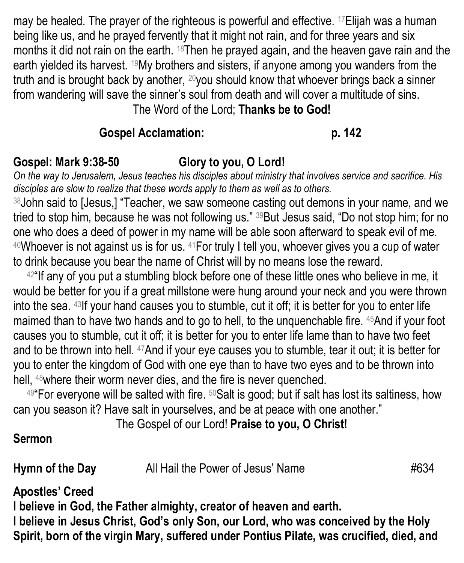may be healed. The prayer of the righteous is powerful and effective. 17Elijah was a human being like us, and he prayed fervently that it might not rain, and for three years and six months it did not rain on the earth. 18Then he prayed again, and the heaven gave rain and the earth yielded its harvest. <sup>19</sup>My brothers and sisters, if anyone among you wanders from the truth and is brought back by another, 20you should know that whoever brings back a sinner from wandering will save the sinner's soul from death and will cover a multitude of sins. The Word of the Lord; **Thanks be to God!**

# **Gospel Acclamation: p. 142**

#### **Gospel: Mark 9:38-50 Glory to you, O Lord!**

*On the way to Jerusalem, Jesus teaches his disciples about ministry that involves service and sacrifice. His disciples are slow to realize that these words apply to them as well as to others.*

<sup>38</sup>John said to [Jesus,] "Teacher, we saw someone casting out demons in your name, and we tried to stop him, because he was not following us." 39 But Jesus said, "Do not stop him; for no one who does a deed of power in my name will be able soon afterward to speak evil of me. <sup>40</sup>Whoever is not against us is for us. 41For truly I tell you, whoever gives you a cup of water to drink because you bear the name of Christ will by no means lose the reward.

 $42^{\circ}$  If any of you put a stumbling block before one of these little ones who believe in me, it would be better for you if a great millstone were hung around your neck and you were thrown into the sea. 43If your hand causes you to stumble, cut it off; it is better for you to enter life maimed than to have two hands and to go to hell, to the unguenchable fire. 45 And if your foot causes you to stumble, cut it off; it is better for you to enter life lame than to have two feet and to be thrown into hell. 47And if your eye causes you to stumble, tear it out; it is better for you to enter the kingdom of God with one eye than to have two eyes and to be thrown into hell, <sup>48</sup>where their worm never dies, and the fire is never quenched.

 $49^{\circ}$ For everyone will be salted with fire.  $50$ Salt is good; but if salt has lost its saltiness, how can you season it? Have salt in yourselves, and be at peace with one another."

The Gospel of our Lord! **Praise to you, O Christ!**

#### **Sermon**

**Hymn of the Day** All Hail the Power of Jesus' Name  $\#634$ 

# **Apostles' Creed**

**I believe in God, the Father almighty, creator of heaven and earth.**

**I believe in Jesus Christ, God's only Son, our Lord, who was conceived by the Holy Spirit, born of the virgin Mary, suffered under Pontius Pilate, was crucified, died, and**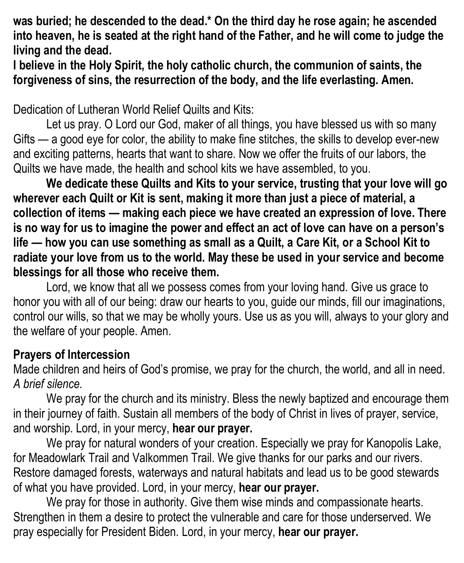**was buried; he descended to the dead.\* On the third day he rose again; he ascended into heaven, he is seated at the right hand of the Father, and he will come to judge the living and the dead.**

**I believe in the Holy Spirit, the holy catholic church, the communion of saints, the forgiveness of sins, the resurrection of the body, and the life everlasting. Amen.**

Dedication of Lutheran World Relief Quilts and Kits:

Let us pray. O Lord our God, maker of all things, you have blessed us with so many Gifts — a good eye for color, the ability to make fine stitches, the skills to develop ever-new and exciting patterns, hearts that want to share. Now we offer the fruits of our labors, the Quilts we have made, the health and school kits we have assembled, to you.

**We dedicate these Quilts and Kits to your service, trusting that your love will go wherever each Quilt or Kit is sent, making it more than just a piece of material, a collection of items — making each piece we have created an expression of love. There is no way for us to imagine the power and effect an act of love can have on a person's life — how you can use something as small as a Quilt, a Care Kit, or a School Kit to radiate your love from us to the world. May these be used in your service and become blessings for all those who receive them.** 

Lord, we know that all we possess comes from your loving hand. Give us grace to honor you with all of our being: draw our hearts to you, guide our minds, fill our imaginations, control our wills, so that we may be wholly yours. Use us as you will, always to your glory and the welfare of your people. Amen.

#### **Prayers of Intercession**

Made children and heirs of God's promise, we pray for the church, the world, and all in need. *A brief silence.*

We pray for the church and its ministry. Bless the newly baptized and encourage them in their journey of faith. Sustain all members of the body of Christ in lives of prayer, service, and worship. Lord, in your mercy, **hear our prayer.**

We pray for natural wonders of your creation. Especially we pray for Kanopolis Lake, for Meadowlark Trail and Valkommen Trail. We give thanks for our parks and our rivers. Restore damaged forests, waterways and natural habitats and lead us to be good stewards of what you have provided. Lord, in your mercy, **hear our prayer.**

We pray for those in authority. Give them wise minds and compassionate hearts. Strengthen in them a desire to protect the vulnerable and care for those underserved. We pray especially for President Biden. Lord, in your mercy, **hear our prayer.**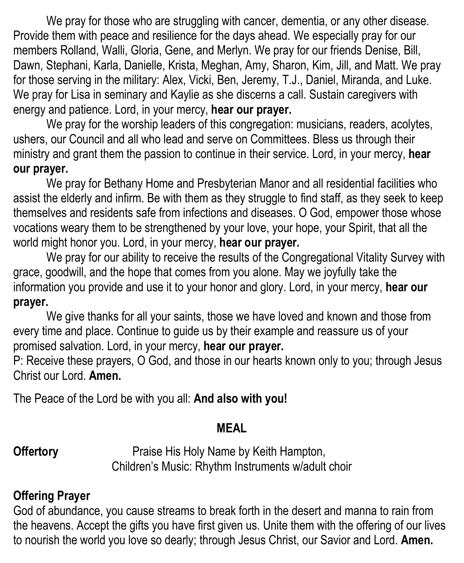We pray for those who are struggling with cancer, dementia, or any other disease. Provide them with peace and resilience for the days ahead. We especially pray for our members Rolland, Walli, Gloria, Gene, and Merlyn. We pray for our friends Denise, Bill, Dawn, Stephani, Karla, Danielle, Krista, Meghan, Amy, Sharon, Kim, Jill, and Matt. We pray for those serving in the military: Alex, Vicki, Ben, Jeremy, T.J., Daniel, Miranda, and Luke. We pray for Lisa in seminary and Kaylie as she discerns a call. Sustain caregivers with energy and patience. Lord, in your mercy, **hear our prayer.**

We pray for the worship leaders of this congregation: musicians, readers, acolytes, ushers, our Council and all who lead and serve on Committees. Bless us through their ministry and grant them the passion to continue in their service. Lord, in your mercy, **hear our prayer.**

We pray for Bethany Home and Presbyterian Manor and all residential facilities who assist the elderly and infirm. Be with them as they struggle to find staff, as they seek to keep themselves and residents safe from infections and diseases. O God, empower those whose vocations weary them to be strengthened by your love, your hope, your Spirit, that all the world might honor you. Lord, in your mercy, **hear our prayer.**

We pray for our ability to receive the results of the Congregational Vitality Survey with grace, goodwill, and the hope that comes from you alone. May we joyfully take the information you provide and use it to your honor and glory. Lord, in your mercy, **hear our prayer.**

We give thanks for all your saints, those we have loved and known and those from every time and place. Continue to guide us by their example and reassure us of your promised salvation. Lord, in your mercy, **hear our prayer.**

P: Receive these prayers, O God, and those in our hearts known only to you; through Jesus Christ our Lord. **Amen.**

The Peace of the Lord be with you all: **And also with you!**

#### **MEAL**

#### **Offertory** Praise His Holy Name by Keith Hampton, Children's Music: Rhythm Instruments w/adult choir

# **Offering Prayer**

God of abundance, you cause streams to break forth in the desert and manna to rain from the heavens. Accept the gifts you have first given us. Unite them with the offering of our lives to nourish the world you love so dearly; through Jesus Christ, our Savior and Lord. **Amen.**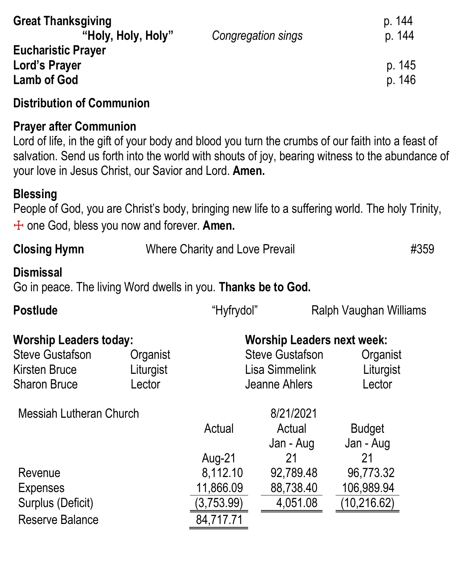| <b>Great Thanksgiving</b><br>"Holy, Holy, Holy"                  | Congregation sings | p. 144<br>p. 144 |
|------------------------------------------------------------------|--------------------|------------------|
| <b>Eucharistic Prayer</b><br>Lord's Prayer<br><b>Lamb of God</b> |                    | p. 145<br>p. 146 |

#### **Distribution of Communion**

#### **Prayer after Communion**

Lord of life, in the gift of your body and blood you turn the crumbs of our faith into a feast of salvation. Send us forth into the world with shouts of joy, bearing witness to the abundance of your love in Jesus Christ, our Savior and Lord. **Amen.**

## **Blessing**

People of God, you are Christ's body, bringing new life to a suffering world. The holy Trinity, ☩ one God, bless you now and forever. **Amen.**

| <b>Closing Hymn</b> | Where Charity and Love Prevail | #359 |
|---------------------|--------------------------------|------|
|                     |                                |      |

#### **Dismissal**

Go in peace. The living Word dwells in you. **Thanks be to God.**

| <b>Postlude</b>                                                       |                                 | "Hyfrydol" |                                                           | Ralph Vaughan Williams          |  |
|-----------------------------------------------------------------------|---------------------------------|------------|-----------------------------------------------------------|---------------------------------|--|
| <b>Worship Leaders today:</b>                                         |                                 |            | <b>Worship Leaders next week:</b>                         |                                 |  |
| <b>Steve Gustafson</b><br><b>Kirsten Bruce</b><br><b>Sharon Bruce</b> | Organist<br>Liturgist<br>Lector |            | <b>Steve Gustafson</b><br>Lisa Simmelink<br>Jeanne Ahlers | Organist<br>Liturgist<br>Lector |  |
| Messiah Lutheran Church                                               |                                 | Actual     | 8/21/2021<br>Actual<br>Jan - Aug                          | <b>Budget</b><br>Jan - Aug      |  |

| Revenue           | 8,112.10   |
|-------------------|------------|
| <b>Expenses</b>   | 11,866.09  |
| Surplus (Deficit) | (3,753.99) |
| Reserve Balance   | 84.717.71  |

|                   | Actual     | Actual    | <b>Budget</b> |
|-------------------|------------|-----------|---------------|
|                   |            | Jan - Aug | Jan - Aug     |
|                   | Aug-21     | 21        | 21            |
| Revenue           | 8,112.10   | 92,789.48 | 96,773.32     |
| <b>Expenses</b>   | 11,866.09  | 88,738.40 | 106,989.94    |
| Surplus (Deficit) | (3,753.99) | 4,051.08  | (10, 216.62)  |
| Reserve Balance   | 84,717.71  |           |               |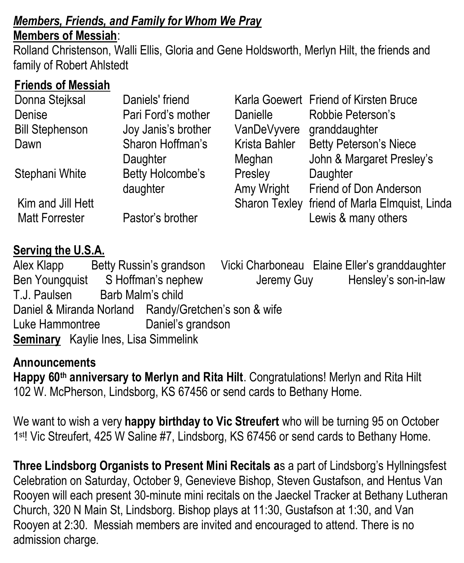# *Members, Friends, and Family for Whom We Pray*

# **Members of Messiah**:

Rolland Christenson, Walli Ellis, Gloria and Gene Holdsworth, Merlyn Hilt, the friends and family of Robert Ahlstedt

# **Friends of Messiah**

| Donna Stejksal         | Daniels' friend     |                      | Karla Goewert Friend of Kirsten Bruce |
|------------------------|---------------------|----------------------|---------------------------------------|
| Denise                 | Pari Ford's mother  | Danielle             | Robbie Peterson's                     |
| <b>Bill Stephenson</b> | Joy Janis's brother |                      | VanDeVyvere granddaughter             |
| Dawn                   | Sharon Hoffman's    | <b>Krista Bahler</b> | <b>Betty Peterson's Niece</b>         |
|                        | Daughter            | Meghan               | John & Margaret Presley's             |
| Stephani White         | Betty Holcombe's    | Presley              | Daughter                              |
|                        | daughter            | Amy Wright           | Friend of Don Anderson                |
| Kim and Jill Hett      |                     | <b>Sharon Texley</b> | friend of Marla Elmquist, Linda       |
| <b>Matt Forrester</b>  | Pastor's brother    |                      | Lewis & many others                   |
|                        |                     |                      |                                       |

# **Serving the U.S.A.**

Alex Klapp Betty Russin's grandson Vicki Charboneau Elaine Eller's granddaughter Ben Youngquist S Hoffman's nephew Jeremy Guy Hensley's son-in-law T.J. Paulsen Barb Malm's child Daniel & Miranda Norland Randy/Gretchen's son & wife Luke Hammontree Daniel's grandson **Seminary** Kaylie Ines, Lisa Simmelink

# **Announcements**

**Happy 60th anniversary to Merlyn and Rita Hilt**. Congratulations! Merlyn and Rita Hilt 102 W. McPherson, Lindsborg, KS 67456 or send cards to Bethany Home.

We want to wish a very **happy birthday to Vic Streufert** who will be turning 95 on October 1<sup>st!</sup> Vic Streufert, 425 W Saline #7, Lindsborg, KS 67456 or send cards to Bethany Home.

**Three Lindsborg Organists to Present Mini Recitals a**s a part of Lindsborg's Hyllningsfest Celebration on Saturday, October 9, Genevieve Bishop, Steven Gustafson, and Hentus Van Rooyen will each present 30-minute mini recitals on the Jaeckel Tracker at Bethany Lutheran Church, 320 N Main St, Lindsborg. Bishop plays at 11:30, Gustafson at 1:30, and Van Rooyen at 2:30. Messiah members are invited and encouraged to attend. There is no admission charge.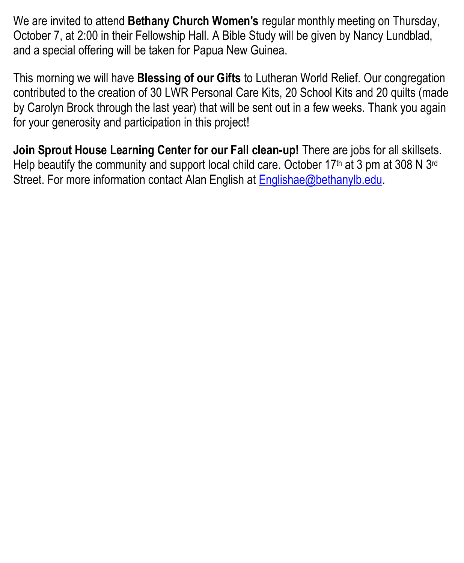We are invited to attend **Bethany Church Women's** regular monthly meeting on Thursday, October 7, at 2:00 in their Fellowship Hall. A Bible Study will be given by Nancy Lundblad, and a special offering will be taken for Papua New Guinea.

This morning we will have **Blessing of our Gifts** to Lutheran World Relief. Our congregation contributed to the creation of 30 LWR Personal Care Kits, 20 School Kits and 20 quilts (made by Carolyn Brock through the last year) that will be sent out in a few weeks. Thank you again for your generosity and participation in this project!

**Join Sprout House Learning Center for our Fall clean-up!** There are jobs for all skillsets. Help beautify the community and support local child care. October 17<sup>th</sup> at 3 pm at 308 N 3<sup>rd</sup> Street. For more information contact Alan English at [Englishae@bethanylb.edu.](mailto:Englishae@bethanylb.edu)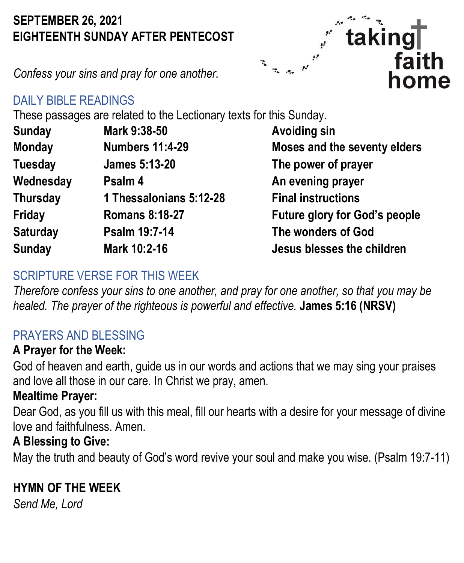# **SEPTEMBER 26, 2021 EIGHTEENTH SUNDAY AFTER PENTECOST**

*Confess your sins and pray for one another.* 

# DAILY BIBLE READINGS

These passages are related to the Lectionary texts for this Sunday.

| <b>Sunday</b>   | Mark 9:38-50            |
|-----------------|-------------------------|
| <b>Monday</b>   | <b>Numbers 11:4-29</b>  |
| <b>Tuesday</b>  | <b>James 5:13-20</b>    |
| Wednesday       | Psalm 4                 |
| <b>Thursday</b> | 1 Thessalonians 5:12-28 |
| Friday          | <b>Romans 8:18-27</b>   |
| <b>Saturday</b> | Psalm 19:7-14           |
| <b>Sunday</b>   | Mark 10:2-16            |

**Avoiding sin Moses and the seventy elders** The power of prayer **An evening prayer Final instructions Future glory for God's people The wonders of God Jesus blesses the children** 

taking

faith

home

# SCRIPTURE VERSE FOR THIS WEEK

*Therefore confess your sins to one another, and pray for one another, so that you may be healed. The prayer of the righteous is powerful and effective.* **James 5:16 (NRSV)**

# PRAYERS AND BLESSING

# **A Prayer for the Week:**

God of heaven and earth, guide us in our words and actions that we may sing your praises and love all those in our care. In Christ we pray, amen.

# **Mealtime Prayer:**

Dear God, as you fill us with this meal, fill our hearts with a desire for your message of divine love and faithfulness. Amen.

# **A Blessing to Give:**

May the truth and beauty of God's word revive your soul and make you wise. (Psalm 19:7-11)

# **HYMN OF THE WEEK**

*Send Me, Lord*